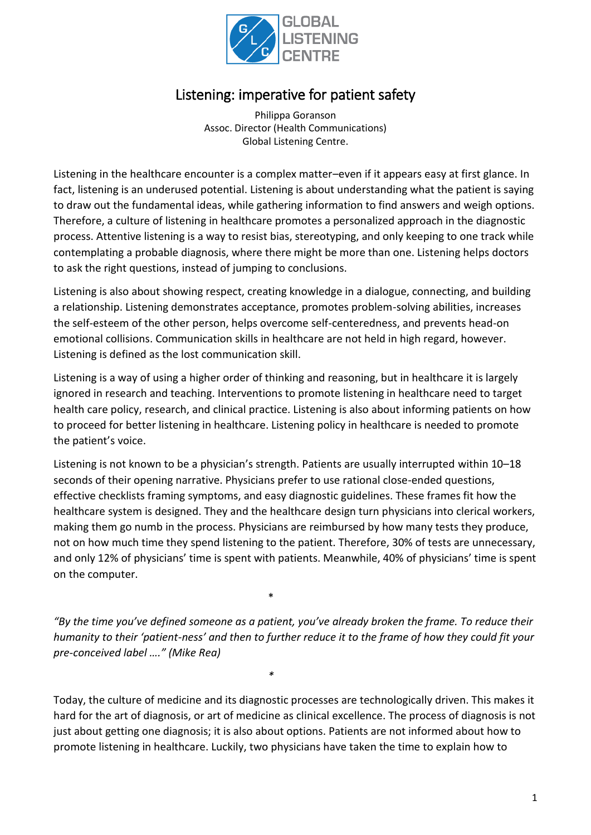

# Listening: imperative for patient safety

Philippa Goranson Assoc. Director (Health Communications) Global Listening Centre.

Listening in the healthcare encounter is a complex matter–even if it appears easy at first glance. In fact, listening is an underused potential. Listening is about understanding what the patient is saying to draw out the fundamental ideas, while gathering information to find answers and weigh options. Therefore, a culture of listening in healthcare promotes a personalized approach in the diagnostic process. Attentive listening is a way to resist bias, stereotyping, and only keeping to one track while contemplating a probable diagnosis, where there might be more than one. Listening helps doctors to ask the right questions, instead of jumping to conclusions.

Listening is also about showing respect, creating knowledge in a dialogue, connecting, and building a relationship. Listening demonstrates acceptance, promotes problem-solving abilities, increases the self-esteem of the other person, helps overcome self-centeredness, and prevents head-on emotional collisions. Communication skills in healthcare are not held in high regard, however. Listening is defined as the lost communication skill.

Listening is a way of using a higher order of thinking and reasoning, but in healthcare it is largely ignored in research and teaching. Interventions to promote listening in healthcare need to target health care policy, research, and clinical practice. Listening is also about informing patients on how to proceed for better listening in healthcare. Listening policy in healthcare is needed to promote the patient's voice.

Listening is not known to be a physician's strength. Patients are usually interrupted within 10–18 seconds of their opening narrative. Physicians prefer to use rational close-ended questions, effective checklists framing symptoms, and easy diagnostic guidelines. These frames fit how the healthcare system is designed. They and the healthcare design turn physicians into clerical workers, making them go numb in the process. Physicians are reimbursed by how many tests they produce, not on how much time they spend listening to the patient. Therefore, 30% of tests are unnecessary, and only 12% of physicians' time is spent with patients. Meanwhile, 40% of physicians' time is spent on the computer.

*"By the time you've defined someone as a patient, you've already broken the frame. To reduce their humanity to their 'patient-ness' and then to further reduce it to the frame of how they could fit your pre-conceived label …." (Mike Rea)*

\*

*\**

Today, the culture of medicine and its diagnostic processes are technologically driven. This makes it hard for the art of diagnosis, or art of medicine as clinical excellence. The process of diagnosis is not just about getting one diagnosis; it is also about options. Patients are not informed about how to promote listening in healthcare. Luckily, two physicians have taken the time to explain how to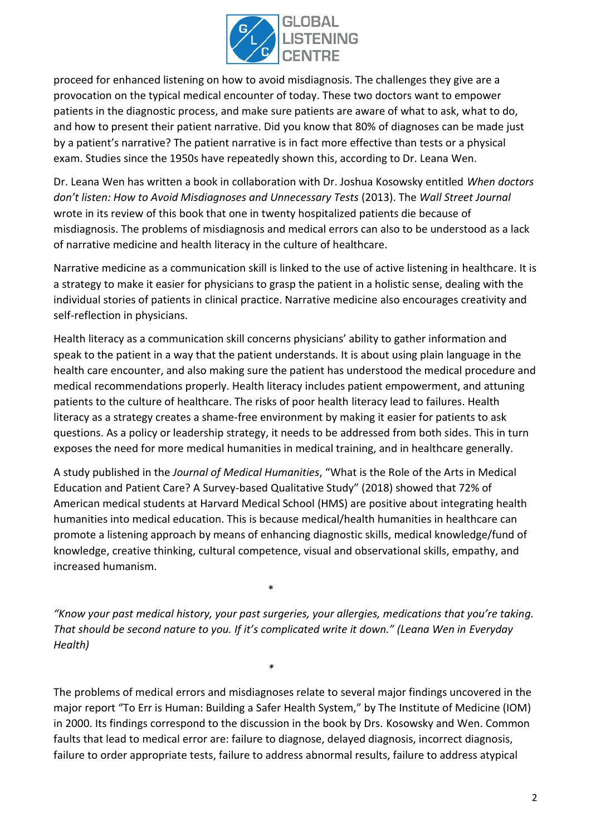

proceed for enhanced listening on how to avoid misdiagnosis. The challenges they give are a provocation on the typical medical encounter of today. These two doctors want to empower patients in the diagnostic process, and make sure patients are aware of what to ask, what to do, and how to present their patient narrative. Did you know that 80% of diagnoses can be made just by a patient's narrative? The patient narrative is in fact more effective than tests or a physical exam. Studies since the 1950s have repeatedly shown this, according to Dr. Leana Wen.

Dr. Leana Wen has written a book in collaboration with Dr. Joshua Kosowsky entitled *When doctors don't listen: How to Avoid Misdiagnoses and Unnecessary Tests* (2013). The *Wall Street Journal* wrote in its review of this book that one in twenty hospitalized patients die because of misdiagnosis. The problems of misdiagnosis and medical errors can also to be understood as a lack of narrative medicine and health literacy in the culture of healthcare.

Narrative medicine as a communication skill is linked to the use of active listening in healthcare. It is a strategy to make it easier for physicians to grasp the patient in a holistic sense, dealing with the individual stories of patients in clinical practice. Narrative medicine also encourages creativity and self-reflection in physicians.

Health literacy as a communication skill concerns physicians' ability to gather information and speak to the patient in a way that the patient understands. It is about using plain language in the health care encounter, and also making sure the patient has understood the medical procedure and medical recommendations properly. Health literacy includes patient empowerment, and attuning patients to the culture of healthcare. The risks of poor health literacy lead to failures. Health literacy as a strategy creates a shame-free environment by making it easier for patients to ask questions. As a policy or leadership strategy, it needs to be addressed from both sides. This in turn exposes the need for more medical humanities in medical training, and in healthcare generally.

A study published in the *Journal of Medical Humanities*, "What is the Role of the Arts in Medical Education and Patient Care? A Survey-based Qualitative Study" (2018) showed that 72% of American medical students at Harvard Medical School (HMS) are positive about integrating health humanities into medical education. This is because medical/health humanities in healthcare can promote a listening approach by means of enhancing diagnostic skills, medical knowledge/fund of knowledge, creative thinking, cultural competence, visual and observational skills, empathy, and increased humanism.

*"Know your past medical history, your past surgeries, your allergies, medications that you're taking. That should be second nature to you. If it's complicated write it down." (Leana Wen in Everyday Health)* 

\*

*\**

The problems of medical errors and misdiagnoses relate to several major findings uncovered in the major report "To Err is Human: Building a Safer Health System," by The Institute of Medicine (IOM) in 2000. Its findings correspond to the discussion in the book by Drs. Kosowsky and Wen. Common faults that lead to medical error are: failure to diagnose, delayed diagnosis, incorrect diagnosis, failure to order appropriate tests, failure to address abnormal results, failure to address atypical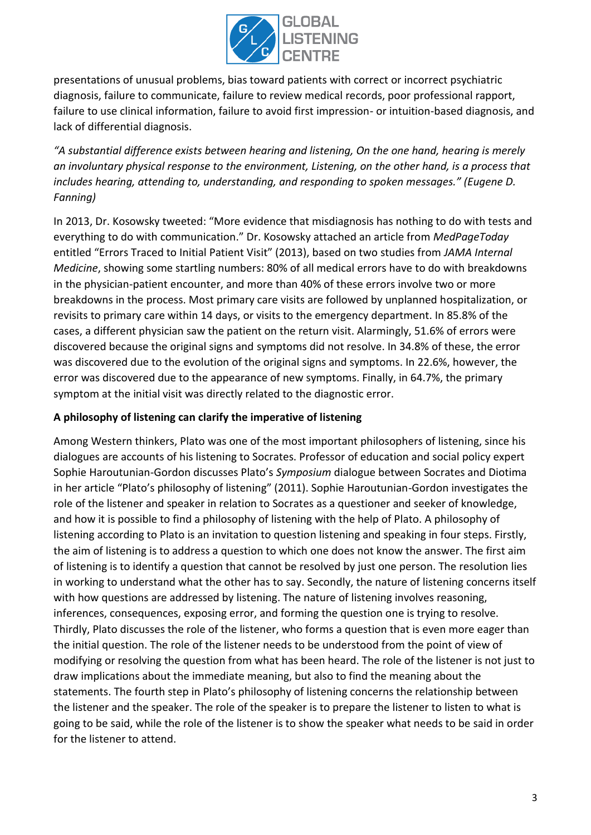

presentations of unusual problems, bias toward patients with correct or incorrect psychiatric diagnosis, failure to communicate, failure to review medical records, poor professional rapport, failure to use clinical information, failure to avoid first impression- or intuition-based diagnosis, and lack of differential diagnosis.

*"A substantial difference exists between hearing and listening, On the one hand, hearing is merely an involuntary physical response to the environment, Listening, on the other hand, is a process that includes hearing, attending to, understanding, and responding to spoken messages." (Eugene D. Fanning)*

In 2013, Dr. Kosowsky tweeted: "More evidence that misdiagnosis has nothing to do with tests and everything to do with communication." Dr. Kosowsky attached an article from *MedPageToday* entitled "Errors Traced to Initial Patient Visit" (2013), based on two studies from *JAMA Internal Medicine*, showing some startling numbers: 80% of all medical errors have to do with breakdowns in the physician-patient encounter, and more than 40% of these errors involve two or more breakdowns in the process. Most primary care visits are followed by unplanned hospitalization, or revisits to primary care within 14 days, or visits to the emergency department. In 85.8% of the cases, a different physician saw the patient on the return visit. Alarmingly, 51.6% of errors were discovered because the original signs and symptoms did not resolve. In 34.8% of these, the error was discovered due to the evolution of the original signs and symptoms. In 22.6%, however, the error was discovered due to the appearance of new symptoms. Finally, in 64.7%, the primary symptom at the initial visit was directly related to the diagnostic error.

#### **A philosophy of listening can clarify the imperative of listening**

Among Western thinkers, Plato was one of the most important philosophers of listening, since his dialogues are accounts of his listening to Socrates. Professor of education and social policy expert Sophie Haroutunian-Gordon discusses Plato's *Symposium* dialogue between Socrates and Diotima in her article "Plato's philosophy of listening" (2011). Sophie Haroutunian-Gordon investigates the role of the listener and speaker in relation to Socrates as a questioner and seeker of knowledge, and how it is possible to find a philosophy of listening with the help of Plato. A philosophy of listening according to Plato is an invitation to question listening and speaking in four steps. Firstly, the aim of listening is to address a question to which one does not know the answer. The first aim of listening is to identify a question that cannot be resolved by just one person. The resolution lies in working to understand what the other has to say. Secondly, the nature of listening concerns itself with how questions are addressed by listening. The nature of listening involves reasoning, inferences, consequences, exposing error, and forming the question one is trying to resolve. Thirdly, Plato discusses the role of the listener, who forms a question that is even more eager than the initial question. The role of the listener needs to be understood from the point of view of modifying or resolving the question from what has been heard. The role of the listener is not just to draw implications about the immediate meaning, but also to find the meaning about the statements. The fourth step in Plato's philosophy of listening concerns the relationship between the listener and the speaker. The role of the speaker is to prepare the listener to listen to what is going to be said, while the role of the listener is to show the speaker what needs to be said in order for the listener to attend.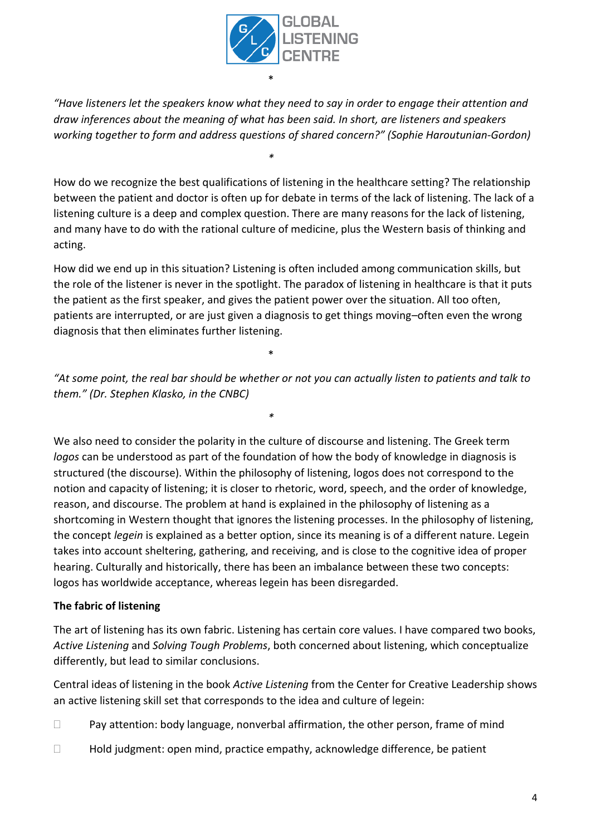

*"Have listeners let the speakers know what they need to say in order to engage their attention and draw inferences about the meaning of what has been said. In short, are listeners and speakers working together to form and address questions of shared concern?" (Sophie Haroutunian-Gordon)*

*\**

How do we recognize the best qualifications of listening in the healthcare setting? The relationship between the patient and doctor is often up for debate in terms of the lack of listening. The lack of a listening culture is a deep and complex question. There are many reasons for the lack of listening, and many have to do with the rational culture of medicine, plus the Western basis of thinking and acting.

How did we end up in this situation? Listening is often included among communication skills, but the role of the listener is never in the spotlight. The paradox of listening in healthcare is that it puts the patient as the first speaker, and gives the patient power over the situation. All too often, patients are interrupted, or are just given a diagnosis to get things moving–often even the wrong diagnosis that then eliminates further listening.

\*

*"At some point, the real bar should be whether or not you can actually listen to patients and talk to them." (Dr. Stephen Klasko, in the CNBC)*

*\**

We also need to consider the polarity in the culture of discourse and listening. The Greek term *logos* can be understood as part of the foundation of how the body of knowledge in diagnosis is structured (the discourse). Within the philosophy of listening, logos does not correspond to the notion and capacity of listening; it is closer to rhetoric, word, speech, and the order of knowledge, reason, and discourse. The problem at hand is explained in the philosophy of listening as a shortcoming in Western thought that ignores the listening processes. In the philosophy of listening, the concept *legein* is explained as a better option, since its meaning is of a different nature. Legein takes into account sheltering, gathering, and receiving, and is close to the cognitive idea of proper hearing. Culturally and historically, there has been an imbalance between these two concepts: logos has worldwide acceptance, whereas legein has been disregarded.

## **The fabric of listening**

The art of listening has its own fabric. Listening has certain core values. I have compared two books, *Active Listening* and *Solving Tough Problems*, both concerned about listening, which conceptualize differently, but lead to similar conclusions.

Central ideas of listening in the book *Active Listening* from the Center for Creative Leadership shows an active listening skill set that corresponds to the idea and culture of legein:

- $\Box$  Pay attention: body language, nonverbal affirmation, the other person, frame of mind
- $\Box$  Hold judgment: open mind, practice empathy, acknowledge difference, be patient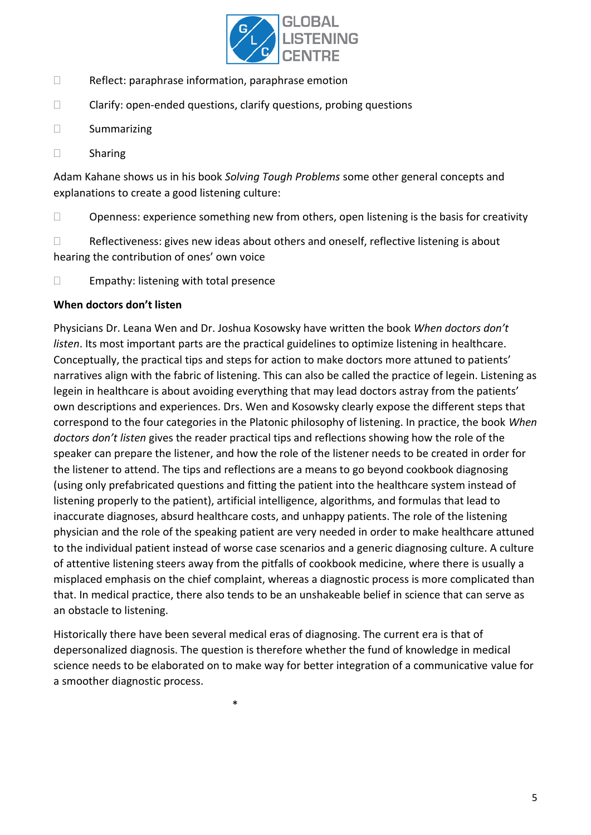

- $\Box$  Reflect: paraphrase information, paraphrase emotion
- $\Box$  Clarify: open-ended questions, clarify questions, probing questions
- □ Summarizing
- Sharing

Adam Kahane shows us in his book *Solving Tough Problems* some other general concepts and explanations to create a good listening culture:

 $\Box$  Openness: experience something new from others, open listening is the basis for creativity

 $\Box$  Reflectiveness: gives new ideas about others and oneself, reflective listening is about hearing the contribution of ones' own voice

 $\Box$  Empathy: listening with total presence

#### **When doctors don't listen**

Physicians Dr. Leana Wen and Dr. Joshua Kosowsky have written the book *When doctors don't listen*. Its most important parts are the practical guidelines to optimize listening in healthcare. Conceptually, the practical tips and steps for action to make doctors more attuned to patients' narratives align with the fabric of listening. This can also be called the practice of legein. Listening as legein in healthcare is about avoiding everything that may lead doctors astray from the patients' own descriptions and experiences. Drs. Wen and Kosowsky clearly expose the different steps that correspond to the four categories in the Platonic philosophy of listening. In practice, the book *When doctors don't listen* gives the reader practical tips and reflections showing how the role of the speaker can prepare the listener, and how the role of the listener needs to be created in order for the listener to attend. The tips and reflections are a means to go beyond cookbook diagnosing (using only prefabricated questions and fitting the patient into the healthcare system instead of listening properly to the patient), artificial intelligence, algorithms, and formulas that lead to inaccurate diagnoses, absurd healthcare costs, and unhappy patients. The role of the listening physician and the role of the speaking patient are very needed in order to make healthcare attuned to the individual patient instead of worse case scenarios and a generic diagnosing culture. A culture of attentive listening steers away from the pitfalls of cookbook medicine, where there is usually a misplaced emphasis on the chief complaint, whereas a diagnostic process is more complicated than that. In medical practice, there also tends to be an unshakeable belief in science that can serve as an obstacle to listening.

Historically there have been several medical eras of diagnosing. The current era is that of depersonalized diagnosis. The question is therefore whether the fund of knowledge in medical science needs to be elaborated on to make way for better integration of a communicative value for a smoother diagnostic process.

\*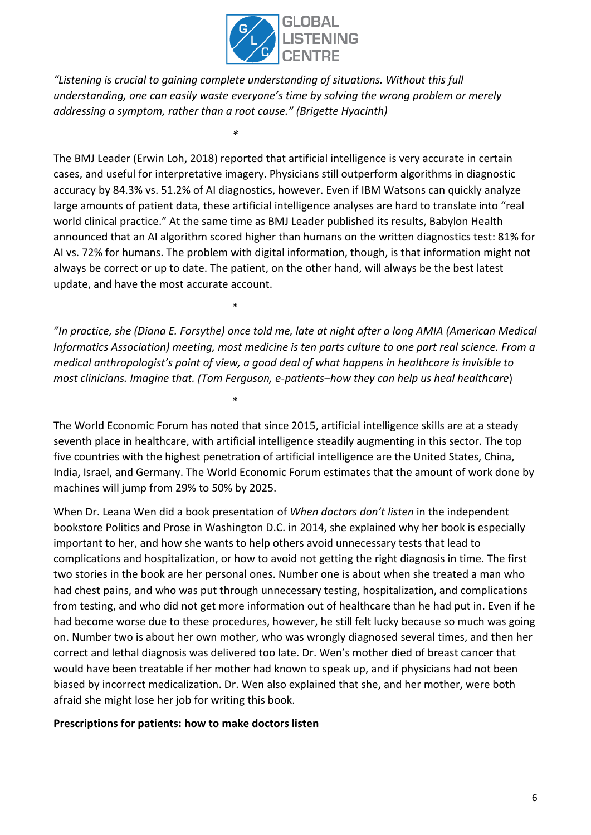

*"Listening is crucial to gaining complete understanding of situations. Without this full understanding, one can easily waste everyone's time by solving the wrong problem or merely addressing a symptom, rather than a root cause." (Brigette Hyacinth)*

*\**

\*

\*

The BMJ Leader (Erwin Loh, 2018) reported that artificial intelligence is very accurate in certain cases, and useful for interpretative imagery. Physicians still outperform algorithms in diagnostic accuracy by 84.3% vs. 51.2% of AI diagnostics, however. Even if IBM Watsons can quickly analyze large amounts of patient data, these artificial intelligence analyses are hard to translate into "real world clinical practice." At the same time as BMJ Leader published its results, Babylon Health announced that an AI algorithm scored higher than humans on the written diagnostics test: 81% for AI vs. 72% for humans. The problem with digital information, though, is that information might not always be correct or up to date. The patient, on the other hand, will always be the best latest update, and have the most accurate account.

*"In practice, she (Diana E. Forsythe) once told me, late at night after a long AMIA (American Medical Informatics Association) meeting, most medicine is ten parts culture to one part real science. From a medical anthropologist's point of view, a good deal of what happens in healthcare is invisible to most clinicians. Imagine that. (Tom Ferguson, e-patients–how they can help us heal healthcare*)

The World Economic Forum has noted that since 2015, artificial intelligence skills are at a steady seventh place in healthcare, with artificial intelligence steadily augmenting in this sector. The top five countries with the highest penetration of artificial intelligence are the United States, China, India, Israel, and Germany. The World Economic Forum estimates that the amount of work done by machines will jump from 29% to 50% by 2025.

When Dr. Leana Wen did a book presentation of *When doctors don't listen* in the independent bookstore Politics and Prose in Washington D.C. in 2014, she explained why her book is especially important to her, and how she wants to help others avoid unnecessary tests that lead to complications and hospitalization, or how to avoid not getting the right diagnosis in time. The first two stories in the book are her personal ones. Number one is about when she treated a man who had chest pains, and who was put through unnecessary testing, hospitalization, and complications from testing, and who did not get more information out of healthcare than he had put in. Even if he had become worse due to these procedures, however, he still felt lucky because so much was going on. Number two is about her own mother, who was wrongly diagnosed several times, and then her correct and lethal diagnosis was delivered too late. Dr. Wen's mother died of breast cancer that would have been treatable if her mother had known to speak up, and if physicians had not been biased by incorrect medicalization. Dr. Wen also explained that she, and her mother, were both afraid she might lose her job for writing this book.

#### **Prescriptions for patients: how to make doctors listen**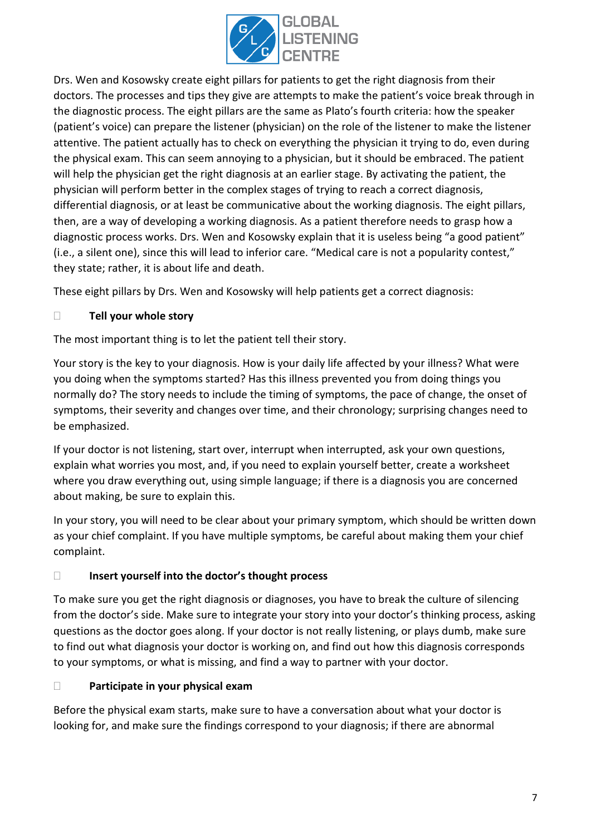

Drs. Wen and Kosowsky create eight pillars for patients to get the right diagnosis from their doctors. The processes and tips they give are attempts to make the patient's voice break through in the diagnostic process. The eight pillars are the same as Plato's fourth criteria: how the speaker (patient's voice) can prepare the listener (physician) on the role of the listener to make the listener attentive. The patient actually has to check on everything the physician it trying to do, even during the physical exam. This can seem annoying to a physician, but it should be embraced. The patient will help the physician get the right diagnosis at an earlier stage. By activating the patient, the physician will perform better in the complex stages of trying to reach a correct diagnosis, differential diagnosis, or at least be communicative about the working diagnosis. The eight pillars, then, are a way of developing a working diagnosis. As a patient therefore needs to grasp how a diagnostic process works. Drs. Wen and Kosowsky explain that it is useless being "a good patient" (i.e., a silent one), since this will lead to inferior care. "Medical care is not a popularity contest," they state; rather, it is about life and death.

These eight pillars by Drs. Wen and Kosowsky will help patients get a correct diagnosis:

#### **Tell your whole story**

The most important thing is to let the patient tell their story.

Your story is the key to your diagnosis. How is your daily life affected by your illness? What were you doing when the symptoms started? Has this illness prevented you from doing things you normally do? The story needs to include the timing of symptoms, the pace of change, the onset of symptoms, their severity and changes over time, and their chronology; surprising changes need to be emphasized.

If your doctor is not listening, start over, interrupt when interrupted, ask your own questions, explain what worries you most, and, if you need to explain yourself better, create a worksheet where you draw everything out, using simple language; if there is a diagnosis you are concerned about making, be sure to explain this.

In your story, you will need to be clear about your primary symptom, which should be written down as your chief complaint. If you have multiple symptoms, be careful about making them your chief complaint.

#### **Insert yourself into the doctor's thought process**

To make sure you get the right diagnosis or diagnoses, you have to break the culture of silencing from the doctor's side. Make sure to integrate your story into your doctor's thinking process, asking questions as the doctor goes along. If your doctor is not really listening, or plays dumb, make sure to find out what diagnosis your doctor is working on, and find out how this diagnosis corresponds to your symptoms, or what is missing, and find a way to partner with your doctor.

#### **Participate in your physical exam**

Before the physical exam starts, make sure to have a conversation about what your doctor is looking for, and make sure the findings correspond to your diagnosis; if there are abnormal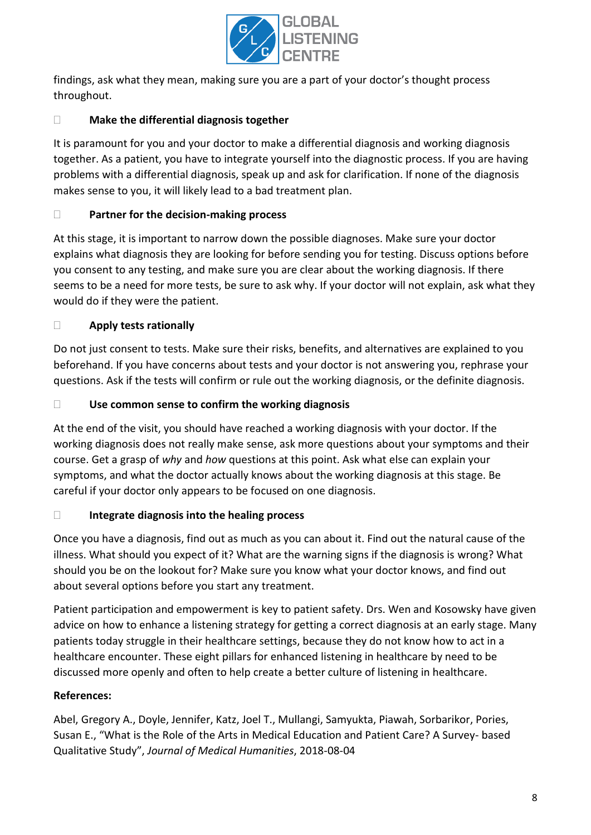

findings, ask what they mean, making sure you are a part of your doctor's thought process throughout.

## **Make the differential diagnosis together**

It is paramount for you and your doctor to make a differential diagnosis and working diagnosis together. As a patient, you have to integrate yourself into the diagnostic process. If you are having problems with a differential diagnosis, speak up and ask for clarification. If none of the diagnosis makes sense to you, it will likely lead to a bad treatment plan.

## **Partner for the decision-making process**

At this stage, it is important to narrow down the possible diagnoses. Make sure your doctor explains what diagnosis they are looking for before sending you for testing. Discuss options before you consent to any testing, and make sure you are clear about the working diagnosis. If there seems to be a need for more tests, be sure to ask why. If your doctor will not explain, ask what they would do if they were the patient.

## **Apply tests rationally**

Do not just consent to tests. Make sure their risks, benefits, and alternatives are explained to you beforehand. If you have concerns about tests and your doctor is not answering you, rephrase your questions. Ask if the tests will confirm or rule out the working diagnosis, or the definite diagnosis.

## **Use common sense to confirm the working diagnosis**

At the end of the visit, you should have reached a working diagnosis with your doctor. If the working diagnosis does not really make sense, ask more questions about your symptoms and their course. Get a grasp of *why* and *how* questions at this point. Ask what else can explain your symptoms, and what the doctor actually knows about the working diagnosis at this stage. Be careful if your doctor only appears to be focused on one diagnosis.

## **Integrate diagnosis into the healing process**

Once you have a diagnosis, find out as much as you can about it. Find out the natural cause of the illness. What should you expect of it? What are the warning signs if the diagnosis is wrong? What should you be on the lookout for? Make sure you know what your doctor knows, and find out about several options before you start any treatment.

Patient participation and empowerment is key to patient safety. Drs. Wen and Kosowsky have given advice on how to enhance a listening strategy for getting a correct diagnosis at an early stage. Many patients today struggle in their healthcare settings, because they do not know how to act in a healthcare encounter. These eight pillars for enhanced listening in healthcare by need to be discussed more openly and often to help create a better culture of listening in healthcare.

## **References:**

Abel, Gregory A., Doyle, Jennifer, Katz, Joel T., Mullangi, Samyukta, Piawah, Sorbarikor, Pories, Susan E., "What is the Role of the Arts in Medical Education and Patient Care? A Survey- based Qualitative Study", *Journal of Medical Humanities*, 2018-08-04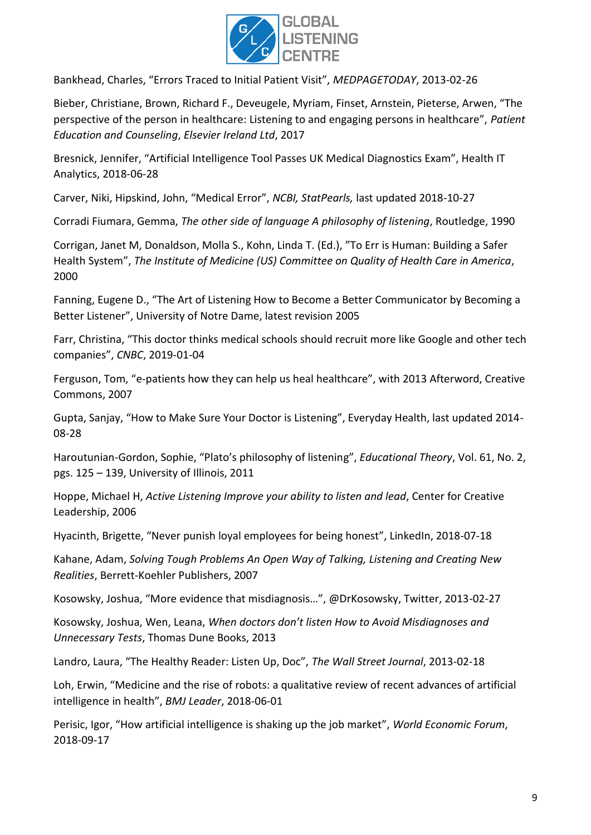

Bankhead, Charles, "Errors Traced to Initial Patient Visit", *MEDPAGETODAY*, 2013-02-26

Bieber, Christiane, Brown, Richard F., Deveugele, Myriam, Finset, Arnstein, Pieterse, Arwen, "The perspective of the person in healthcare: Listening to and engaging persons in healthcare", *Patient Education and Counseling*, *Elsevier Ireland Ltd*, 2017

Bresnick, Jennifer, "Artificial Intelligence Tool Passes UK Medical Diagnostics Exam", Health IT Analytics, 2018-06-28

Carver, Niki, Hipskind, John, "Medical Error", *NCBI, StatPearls,* last updated 2018-10-27

Corradi Fiumara, Gemma, *The other side of language A philosophy of listening*, Routledge, 1990

Corrigan, Janet M, Donaldson, Molla S., Kohn, Linda T. (Ed.), "To Err is Human: Building a Safer Health System", *The Institute of Medicine (US) Committee on Quality of Health Care in America*, 2000

Fanning, Eugene D., "The Art of Listening How to Become a Better Communicator by Becoming a Better Listener", University of Notre Dame, latest revision 2005

Farr, Christina, "This doctor thinks medical schools should recruit more like Google and other tech companies", *CNBC*, 2019-01-04

Ferguson, Tom, "e-patients how they can help us heal healthcare", with 2013 Afterword, Creative Commons, 2007

Gupta, Sanjay, "How to Make Sure Your Doctor is Listening", Everyday Health, last updated 2014- 08-28

Haroutunian-Gordon, Sophie, "Plato's philosophy of listening", *Educational Theory*, Vol. 61, No. 2, pgs. 125 – 139, University of Illinois, 2011

Hoppe, Michael H, *Active Listening Improve your ability to listen and lead*, Center for Creative Leadership, 2006

Hyacinth, Brigette, "Never punish loyal employees for being honest", LinkedIn, 2018-07-18

Kahane, Adam, *Solving Tough Problems An Open Way of Talking, Listening and Creating New Realities*, Berrett-Koehler Publishers, 2007

Kosowsky, Joshua, "More evidence that misdiagnosis…", @DrKosowsky, Twitter, 2013-02-27

Kosowsky, Joshua, Wen, Leana, *When doctors don't listen How to Avoid Misdiagnoses and Unnecessary Tests*, Thomas Dune Books, 2013

Landro, Laura, "The Healthy Reader: Listen Up, Doc", *The Wall Street Journal*, 2013-02-18

Loh, Erwin, "Medicine and the rise of robots: a qualitative review of recent advances of artificial intelligence in health", *BMJ Leader*, 2018-06-01

Perisic, Igor, "How artificial intelligence is shaking up the job market", *World Economic Forum*, 2018-09-17